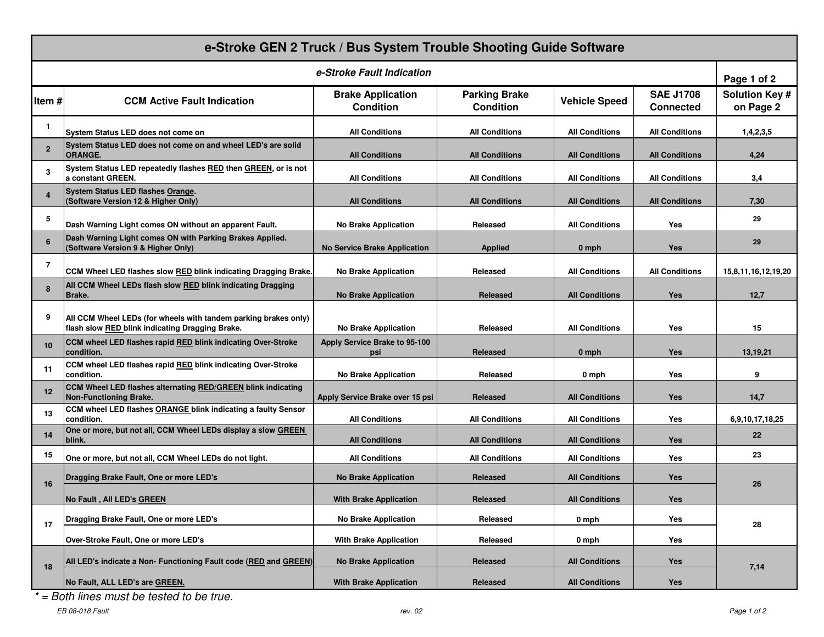| e-Stroke GEN 2 Truck / Bus System Trouble Shooting Guide Software |                                                                                                                    |                                              |                                          |                       |                                      |                                    |  |  |
|-------------------------------------------------------------------|--------------------------------------------------------------------------------------------------------------------|----------------------------------------------|------------------------------------------|-----------------------|--------------------------------------|------------------------------------|--|--|
| e-Stroke Fault Indication                                         |                                                                                                                    |                                              |                                          |                       |                                      |                                    |  |  |
| Item#                                                             | <b>CCM Active Fault Indication</b>                                                                                 | <b>Brake Application</b><br><b>Condition</b> | <b>Parking Brake</b><br><b>Condition</b> | <b>Vehicle Speed</b>  | <b>SAE J1708</b><br><b>Connected</b> | <b>Solution Key #</b><br>on Page 2 |  |  |
| $\mathbf{1}$                                                      | System Status LED does not come on                                                                                 | <b>All Conditions</b>                        | <b>All Conditions</b>                    | <b>All Conditions</b> | <b>All Conditions</b>                | 1,4,2,3,5                          |  |  |
| $\overline{2}$                                                    | System Status LED does not come on and wheel LED's are solid<br><b>ORANGE.</b>                                     | <b>All Conditions</b>                        | <b>All Conditions</b>                    | <b>All Conditions</b> | <b>All Conditions</b>                | 4,24                               |  |  |
| 3                                                                 | System Status LED repeatedly flashes RED then GREEN, or is not<br>a constant GREEN.                                | <b>All Conditions</b>                        | <b>All Conditions</b>                    | <b>All Conditions</b> | <b>All Conditions</b>                | 3,4                                |  |  |
| 4                                                                 | System Status LED flashes Orange.<br>(Software Version 12 & Higher Only)                                           | <b>All Conditions</b>                        | <b>All Conditions</b>                    | <b>All Conditions</b> | <b>All Conditions</b>                | 7,30                               |  |  |
| 5                                                                 | Dash Warning Light comes ON without an apparent Fault.                                                             | <b>No Brake Application</b>                  | Released                                 | <b>All Conditions</b> | Yes                                  | 29                                 |  |  |
| 6                                                                 | Dash Warning Light comes ON with Parking Brakes Applied.<br>(Software Version 9 & Higher Only)                     | <b>No Service Brake Application</b>          | <b>Applied</b>                           | 0 mph                 | <b>Yes</b>                           | 29                                 |  |  |
| 7                                                                 | CCM Wheel LED flashes slow RED blink indicating Dragging Brake.                                                    | <b>No Brake Application</b>                  | Released                                 | <b>All Conditions</b> | <b>All Conditions</b>                | 15,8,11,16,12,19,20                |  |  |
| 8                                                                 | All CCM Wheel LEDs flash slow RED blink indicating Dragging<br>Brake.                                              | <b>No Brake Application</b>                  | <b>Released</b>                          | <b>All Conditions</b> | <b>Yes</b>                           | 12,7                               |  |  |
| 9                                                                 | All CCM Wheel LEDs (for wheels with tandem parking brakes only)<br>flash slow RED blink indicating Dragging Brake. | <b>No Brake Application</b>                  | Released                                 | <b>All Conditions</b> | Yes                                  | 15                                 |  |  |
| 10 <sup>1</sup>                                                   | CCM wheel LED flashes rapid RED blink indicating Over-Stroke<br>condition.                                         | Apply Service Brake to 95-100<br>psi         | <b>Released</b>                          | 0 mph                 | <b>Yes</b>                           | 13,19,21                           |  |  |
| 11                                                                | CCM wheel LED flashes rapid RED blink indicating Over-Stroke<br>condition.                                         | <b>No Brake Application</b>                  | Released                                 | 0 mph                 | Yes                                  | 9                                  |  |  |
| 12                                                                | CCM Wheel LED flashes alternating RED/GREEN blink indicating<br><b>Non-Functioning Brake.</b>                      | Apply Service Brake over 15 psi              | <b>Released</b>                          | <b>All Conditions</b> | <b>Yes</b>                           | 14,7                               |  |  |
| 13                                                                | CCM wheel LED flashes ORANGE blink indicating a faulty Sensor<br>condition.                                        | <b>All Conditions</b>                        | <b>All Conditions</b>                    | <b>All Conditions</b> | Yes                                  | 6,9,10,17,18,25                    |  |  |
| 14                                                                | One or more, but not all, CCM Wheel LEDs display a slow GREEN<br>blink.                                            | <b>All Conditions</b>                        | <b>All Conditions</b>                    | <b>All Conditions</b> | <b>Yes</b>                           | 22                                 |  |  |
| 15                                                                | One or more, but not all, CCM Wheel LEDs do not light.                                                             | <b>All Conditions</b>                        | <b>All Conditions</b>                    | <b>All Conditions</b> | Yes                                  | 23                                 |  |  |
| 16                                                                | Dragging Brake Fault, One or more LED's                                                                            | <b>No Brake Application</b>                  | <b>Released</b>                          | <b>All Conditions</b> | <b>Yes</b>                           | 26                                 |  |  |
|                                                                   | No Fault, All LED's GREEN                                                                                          | <b>With Brake Application</b>                | <b>Released</b>                          | <b>All Conditions</b> | <b>Yes</b>                           |                                    |  |  |
| 17                                                                | Dragging Brake Fault, One or more LED's                                                                            | <b>No Brake Application</b>                  | Released                                 | 0 mph                 | Yes                                  | 28                                 |  |  |
|                                                                   | Over-Stroke Fault, One or more LED's                                                                               | With Brake Application                       | Released                                 | $0$ mph               | Yes                                  |                                    |  |  |
| 18                                                                | All LED's indicate a Non- Functioning Fault code (RED and GREEN)                                                   | <b>No Brake Application</b>                  | Released                                 | <b>All Conditions</b> | Yes                                  | 7,14                               |  |  |
|                                                                   | No Fault, ALL LED's are GREEN.                                                                                     | <b>With Brake Application</b>                | Released                                 | <b>All Conditions</b> | Yes                                  |                                    |  |  |

 $* =$  Both lines must be tested to be true.

EB 08-018 Fault